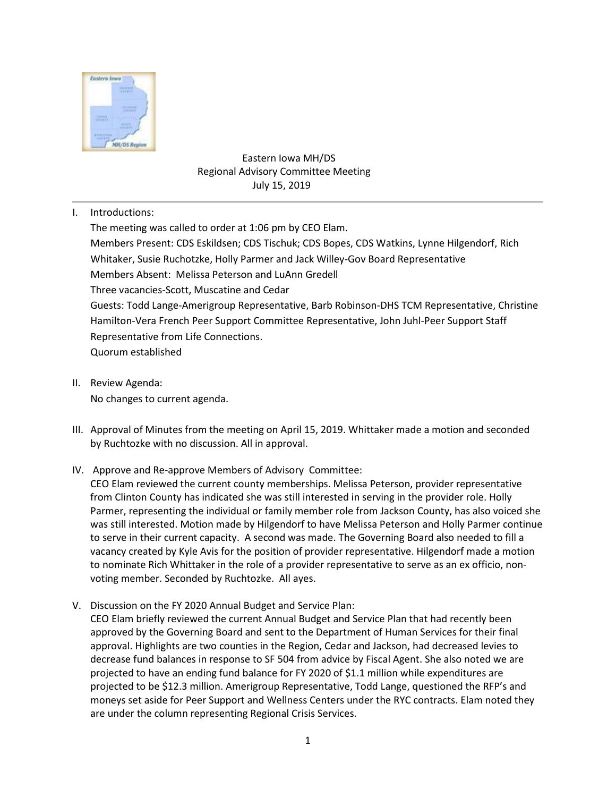

## Eastern Iowa MH/DS Regional Advisory Committee Meeting July 15, 2019

I. Introductions:

The meeting was called to order at 1:06 pm by CEO Elam. Members Present: CDS Eskildsen; CDS Tischuk; CDS Bopes, CDS Watkins, Lynne Hilgendorf, Rich Whitaker, Susie Ruchotzke, Holly Parmer and Jack Willey-Gov Board Representative Members Absent: Melissa Peterson and LuAnn Gredell Three vacancies-Scott, Muscatine and Cedar Guests: Todd Lange-Amerigroup Representative, Barb Robinson-DHS TCM Representative, Christine Hamilton-Vera French Peer Support Committee Representative, John Juhl-Peer Support Staff Representative from Life Connections. Quorum established

- II. Review Agenda: No changes to current agenda.
- III. Approval of Minutes from the meeting on April 15, 2019. Whittaker made a motion and seconded by Ruchtozke with no discussion. All in approval.
- IV. Approve and Re-approve Members of Advisory Committee:

CEO Elam reviewed the current county memberships. Melissa Peterson, provider representative from Clinton County has indicated she was still interested in serving in the provider role. Holly Parmer, representing the individual or family member role from Jackson County, has also voiced she was still interested. Motion made by Hilgendorf to have Melissa Peterson and Holly Parmer continue to serve in their current capacity. A second was made. The Governing Board also needed to fill a vacancy created by Kyle Avis for the position of provider representative. Hilgendorf made a motion to nominate Rich Whittaker in the role of a provider representative to serve as an ex officio, nonvoting member. Seconded by Ruchtozke. All ayes.

V. Discussion on the FY 2020 Annual Budget and Service Plan: CEO Elam briefly reviewed the current Annual Budget and Service Plan that had recently been approved by the Governing Board and sent to the Department of Human Services for their final approval. Highlights are two counties in the Region, Cedar and Jackson, had decreased levies to decrease fund balances in response to SF 504 from advice by Fiscal Agent. She also noted we are projected to have an ending fund balance for FY 2020 of \$1.1 million while expenditures are projected to be \$12.3 million. Amerigroup Representative, Todd Lange, questioned the RFP's and moneys set aside for Peer Support and Wellness Centers under the RYC contracts. Elam noted they are under the column representing Regional Crisis Services.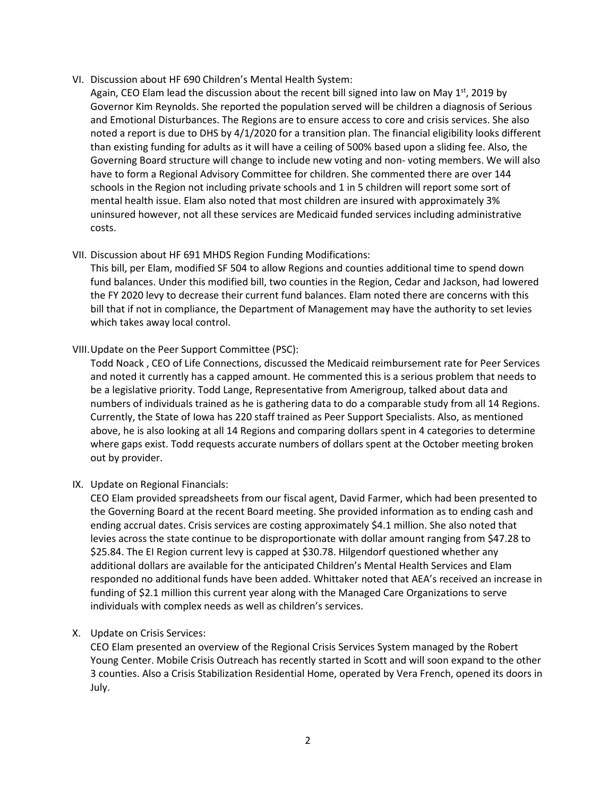- VI. Discussion about HF 690 Children's Mental Health System:
	- Again, CEO Elam lead the discussion about the recent bill signed into law on May  $1<sup>st</sup>$ , 2019 by Governor Kim Reynolds. She reported the population served will be children a diagnosis of Serious and Emotional Disturbances. The Regions are to ensure access to core and crisis services. She also noted a report is due to DHS by 4/1/2020 for a transition plan. The financial eligibility looks different than existing funding for adults as it will have a ceiling of 500% based upon a sliding fee. Also, the Governing Board structure will change to include new voting and non- voting members. We will also have to form a Regional Advisory Committee for children. She commented there are over 144 schools in the Region not including private schools and 1 in 5 children will report some sort of mental health issue. Elam also noted that most children are insured with approximately 3% uninsured however, not all these services are Medicaid funded services including administrative costs.
- VII. Discussion about HF 691 MHDS Region Funding Modifications:

This bill, per Elam, modified SF 504 to allow Regions and counties additional time to spend down fund balances. Under this modified bill, two counties in the Region, Cedar and Jackson, had lowered the FY 2020 levy to decrease their current fund balances. Elam noted there are concerns with this bill that if not in compliance, the Department of Management may have the authority to set levies which takes away local control.

VIII.Update on the Peer Support Committee (PSC):

Todd Noack , CEO of Life Connections, discussed the Medicaid reimbursement rate for Peer Services and noted it currently has a capped amount. He commented this is a serious problem that needs to be a legislative priority. Todd Lange, Representative from Amerigroup, talked about data and numbers of individuals trained as he is gathering data to do a comparable study from all 14 Regions. Currently, the State of Iowa has 220 staff trained as Peer Support Specialists. Also, as mentioned above, he is also looking at all 14 Regions and comparing dollars spent in 4 categories to determine where gaps exist. Todd requests accurate numbers of dollars spent at the October meeting broken out by provider.

IX. Update on Regional Financials:

CEO Elam provided spreadsheets from our fiscal agent, David Farmer, which had been presented to the Governing Board at the recent Board meeting. She provided information as to ending cash and ending accrual dates. Crisis services are costing approximately \$4.1 million. She also noted that levies across the state continue to be disproportionate with dollar amount ranging from \$47.28 to \$25.84. The EI Region current levy is capped at \$30.78. Hilgendorf questioned whether any additional dollars are available for the anticipated Children's Mental Health Services and Elam responded no additional funds have been added. Whittaker noted that AEA's received an increase in funding of \$2.1 million this current year along with the Managed Care Organizations to serve individuals with complex needs as well as children's services.

X. Update on Crisis Services:

CEO Elam presented an overview of the Regional Crisis Services System managed by the Robert Young Center. Mobile Crisis Outreach has recently started in Scott and will soon expand to the other 3 counties. Also a Crisis Stabilization Residential Home, operated by Vera French, opened its doors in July.